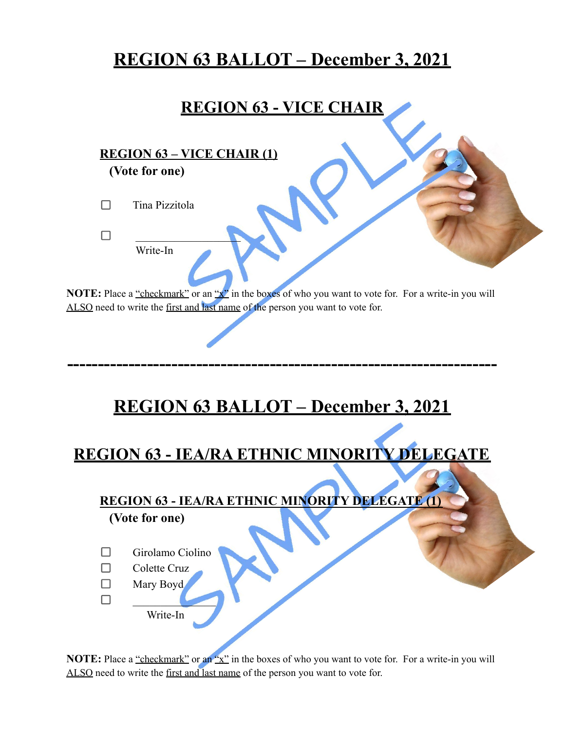## **REGION 63 BALLOT – December 3, 2021**

#### **REGION 63 - VICE CHAIR**

**REGION 63 – VICE CHAIR (1) (Vote for one)**

 $\Box$ Tina Pizzitola

> $\blacksquare$ Write-In

 $\Box$ 

**NOTE:** Place a "checkmark" or an "x" in the boxes of who you want to vote for. For a write-in you will ALSO need to write the first and last name of the person you want to vote for.

# **REGION 63 BALLOT – December 3, 2021**

**----------------------------------------------------------------------**

## **REGION 63 - IEA/RA ETHNIC MINORITY DELEGATE**

### **REGION 63 - IEA/RA ETHNIC MINORITY DELEGATE (1)**

**(Vote for one)**

- $\Box$ Girolamo Ciolino
- $\Box$ Colette Cruz
- $\Box$ Mary Boyd
- $\Box$  $\overline{\phantom{a}}$ 
	- Write-In

**NOTE:** Place a "checkmark" or an "x" in the boxes of who you want to vote for. For a write-in you will ALSO need to write the first and last name of the person you want to vote for.